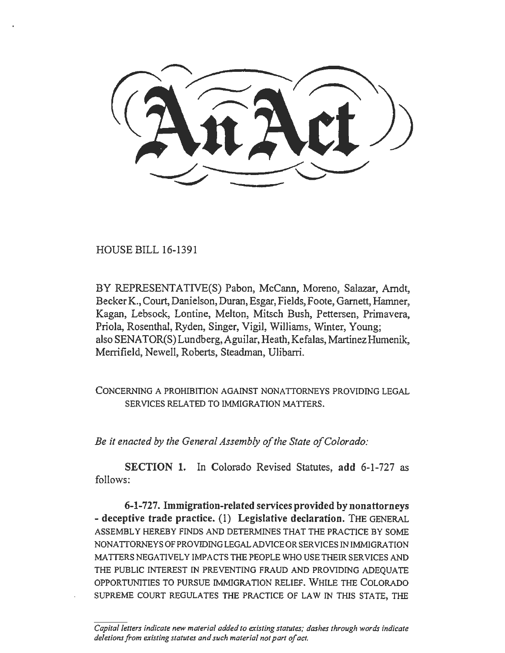HOUSE BILL 16-1391

BY REPRESENTATIVE(S) Pabon, McCann, Moreno, Salazar, Arndt, Becker K., Court, Danielson, Duran, Esgar, Fields, Foote, Garnett, Hamner, Kagan, Lebsock, Lontine, Melton, Mitsch Bush, Pettersen, Primavera, Priola, Rosenthal, Ryden, Singer, Vigil, Williams, Winter, Young; also SENATOR(S) Lundberg, Aguilar, Heath, Kefalas, Martinez Humenik, Merrifield, Newell, Roberts, Steadman, Ulibarri.

CONCERNING A PROHIBITION AGAINST NONATTORNEYS PROVIDING LEGAL SERVICES RELATED TO IMMIGRATION MATTERS.

*Be* it *enacted by the General Assembly of the State of Colorado:* 

SECTION 1. In Colorado Revised Statutes, add 6-1-727 as follows:

6-1-727. Immigration-related services provided by nonattorneys -deceptive trade practice. (1) Legislative declaration. THE GENERAL ASSEMBLY HEREBY FINDS AND DETERMINES THAT THE PRACTICE BY SOME NONATTORNEYSOFPROVIDINGLEGALADVICEORSERVICESINIMMIGRATION MA TIERS NEGATIVELY IMP ACTS THE PEOPLE WHO USE THEIR SERVICES AND THE PUBLIC INTEREST IN PREVENTING FRAUD AND PROVIDING ADEQUATE OPPORTUNITIES TO PURSUE IMMIGRATION RELIEF. WHILE THE COLORADO SUPREME COURT REGULATES THE PRACTICE OF LAW IN THIS STATE, THE

*Capital /etters indicate new material added to existing statutes; dashes through words indicate deletions from existing statutes and such material not part of act.*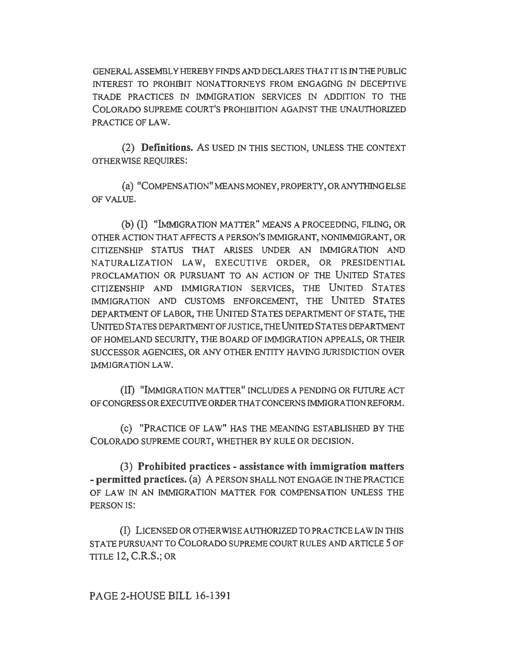GENERAL ASSEMBLY HEREBY FINDS AND DECLARES THAT IT IS IN THE PUBLIC INTEREST TO PROHIBIT NONATTORNEYS FROM ENGAGING IN DECEPTIVE TRADE PRACTICES IN IMMIGRATION SERVICES IN ADDITION TO THE COLORADO SUPREME COURT'S PROHIBITION AGAINST THE UNAUTHORIZED PRACTICE OF LAW.

(2) Definitions. As USED IN THIS SECTION, UNLESS THE CONTEXT OTHER WISE REQUIRES:

(a) "COMPENSATION" MEANS MONEY, PROPERTY, OR ANYTHING ELSE OF VALUE.

(b) (I) "lMMJGRA TION MA ITER" MEANS A PROCEEDING, FILING, OR OTIIER ACTION THAT AFFECTS A PERSON'S IMMJGRANT, NONIMMIGRANT, OR CITIZENSHIP STATUS TIIAT ARISES UNDER AN IMMIGRATION AND NATURALIZATION LAW, EXECUTIVE ORDER, OR PRESIDENTIAL PROCLAMATION OR PURSUANT TO AN ACTION OF THE UNITED STATES CITIZENSHIP AND IMMIGRATION SERVICES, THE UNITED STATES IMMIGRATION AND CUSTOMS ENFORCEMENT, THE UNITED STATES DEPARTMENT OF LABOR, THE UNITED STATES DEPARTMENT OF STATE, THE UNITED STATES DEPARTMENfOF JUSTICE, THE UNITED STATES DEPARTMENT OF HOMELAND SECURITY, THE BOARD OF IMMIGRATION APPEALS, OR THEIR SUCCESSOR AGENCIES, OR ANY OTHER ENTITY HAVING JURISDICTION OVER l.MMJGRATION LAW.

(II) "lMMIGRA TION MA ITER" INCLUDES A PENDING OR FUTURE ACT OF CONGRESS OR EXECUTIVE ORDER THAT CONCERNS IMMIGRATION REFORM.

(c) "PRACTICE OF LAW" HAS THE MEANING ESTABLISHED BY THE COLORADO SUPREME COURT, WHETHER BY RULE OR DECISION.

(3) Prohibited practices - assistance with immigration matters - permitted practices. (a) A PERSON SHALL NOT ENGAGE IN THE PRACTICE OF LAW IN AN IMMIGRATION MATTER FOR COMPENSATION UNLESS THE PERSON IS:

(I) LICENSED OR OTHER WISE AUTHORIZED TO PRACTICE LAW IN THIS STATE PURSUANT TO COLORADO SUPREME COURT RULES AND ARTICLE 5 OF TITLE 12, C.R.S.; OR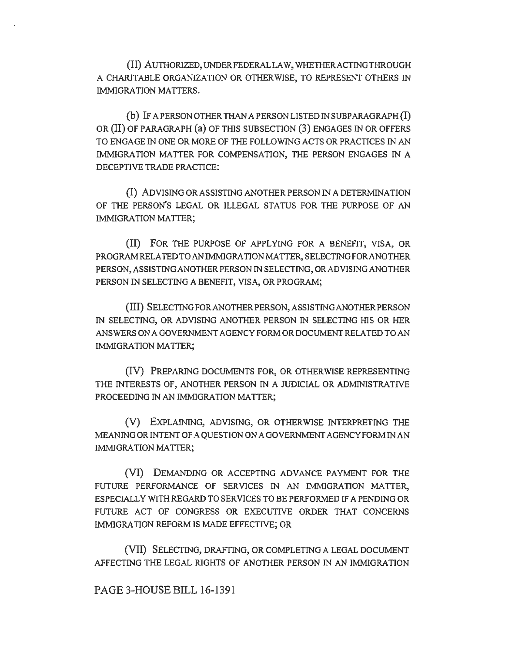(II) AUTHORlZED, UNDERFEDERALLA W, WHETIIERACTINGTHROUGH A CHARITABLE ORGANIZATION OR OTHERWISE, TO REPRESENT OTHERS IN IMMIGRATION MATTERS.

(b) IF A PERSON OTHER THAN A PERSON LISTED IN SUBPARAGRAPH (I) OR (II) OF PARAGRAPH (a) OF THIS SUBSECTION (3) ENGAGES IN OR OFFERS TO ENGAGE IN ONE OR MORE OF THE FOLLOWING ACTS OR PRACTICES IN AN IMMIGRATION MATTER FOR COMPENSATION, THE PERSON ENGAGES IN A DECEPTIVE TRADE PRACTICE:

{I) ADVISING OR ASSISTING ANOTHER PERSON IN A DETERMINATION OF THE PERSON'S LEGAL OR ILLEGAL STATUS FOR THE PURPOSE OF AN IMMIGRATION MATTER;

(II) FOR THE PURPOSE OF APPLYING FOR A BENEFIT, VISA, OR PROGRAM RELATED TO AN IMMlGRA TION MA ITER, SELECTING FOR ANOTHER PERSON, ASSISTING ANOTHER PERSON IN SELECTING, OR ADVISING ANOTHER PERSON IN SELECTING A BENEFIT, VISA, OR PROGRAM;

(Ill) SELECTING FORANOTHERPERSON, ASSISTING ANOTHER PERSON IN SELECTING, OR ADVISING ANOTHER PERSON IN SELECTING HIS OR HER ANSWERS ON A GOVERNMENT AGENCY FORM OR DOCUMENT RELATED TO AN IMMIGRATION MATTER;

(IV) PREPARING DOCUMENTS FOR, OR OTHERWISE REPRESENTING THE INTERESTS OF, ANOTHER PERSON IN A JUDICIAL OR ADMINISTRATNE PROCEEDING IN AN IMMIGRATION MATTER;

(V) EXPLAINING, ADVISING, OR OTHERWISE INTERPRETING THE MEANING OR INTENT OF A QUESTION ON A GOVERNMENT AGENCY FORM IN AN IMMIGRATION MATTER;

(VI) DEMANDING OR ACCEPTING ADVANCE PAYMENT FOR THE FUTURE PERFORMANCE OF SERVICES IN AN IMMIGRATION MATTER, ESPECIALLY WITH REGARD TO SERVICES TO BE PERFORMED IF A PENDING OR FUTURE ACT OF CONGRESS OR EXECUTIVE ORDER THAT CONCERNS IMMIGRATION REFORM IS MADE EFFECTIVE; OR

(VII) SELECTING, DRAFTING, OR COMPLETING A LEGAL DOCUMENT AFFECTING THE LEGAL RIGHTS OF ANOTHER PERSON IN AN IMMIGRATION

PAGE 3~HOUSE BILL 16~1391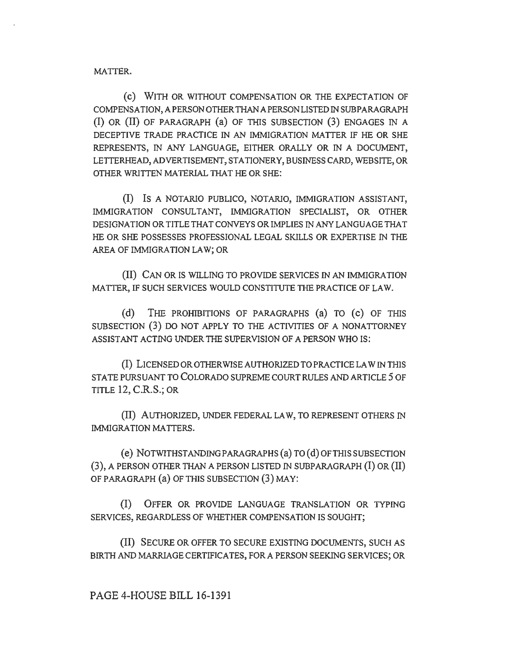MATTER.

(c) WITH OR WITHOUT COMPENSATION OR THE EXPECTATION OF COMPENSATION, A PERSON OTHER THAN A PERSON LISTED IN SUBPARAGRAPH (I) OR (II) OF PARAGRAPH (a) OF THIS SUBSECTION (3) ENGAGES IN A DECEPTIVE TRADE PRACTICE IN AN IMMIGRATION MATTER IF HE OR SHE REPRESENTS, IN ANY LANGUAGE, EITHER ORALLY OR IN A DOCUMENT, LETTERHEAD, ADVERTISEMENT, STATIONERY, BUSINESS CARD, WEBSITE, OR OTHER WRITTEN MATERIAL THAT HE OR SHE:

(I) IS A NOTARIO PUBLICO, NOTARIO, IMMIGRATION ASSISTANT, IMMIGRATION CONSULTANT, IMMIGRATION SPECIALIST, OR OTHER DESIGNATION OR TITLE THAT CONVEYS OR IMPLIES IN ANY LANGUAGE THAT HE OR SHE POSSESSES PROFESSIONAL LEGAL SKILLS OR EXPERTISE IN THE AREA OF IMMIGRATION LAW; OR

(II) CAN OR IS WILLING TO PROVIDE SERVICES IN AN IMMIGRATION MATTER, IF SUCH SERVICES WOULD CONSTITUTE THE PRACTICE OF LAW.

(d) THE PROHIBITIONS OF PARAGRAPHS (a) TO (c) OF THIS SUBSECTION (3) DO NOT APPLY TO THE ACTIVITIES OF A NONATTORNEY ASSISTANT ACTING UNDER THE SUPERVISION OF A PERSON WHO IS:

(I) LICENSED OR OTHERWISE AUTHORIZED TO PRACTICE LAW IN THIS STATE PURSUANT TO COLORADO SUPREME COURT RULES AND ARTICLE 5 OF TITLE 12, C.R.S.; OR

(II) AUTHORIZED, UNDER FEDERAL LAW, TO REPRESENT OTHERS IN IMMIGRATION MATTERS.

(e) NOTWITHSTANDING PARAGRAPHS (a) TO (d) OF TillS SUBSECTION (3 ), A PERSON OTHER THAN A PERSON LISTED IN SUBPARAGRAPH (I) OR (II) OF PARAGRAPH (a) OF THIS SUBSECTION (3) MAY:

(I) OFFER OR PROVIDE LANGUAGE TRANSLATION OR TYPING SERVICES, REGARDLESS OF WHETHER COMPENSATION IS SOUGHT;

(II) SECURE OR OFFER TO SECURE EXISTING DOCUMENTS, SUCH AS BIRTH AND MARRIAGE CERTIFICATES, FOR A PERSON SEEKING SERVICES; OR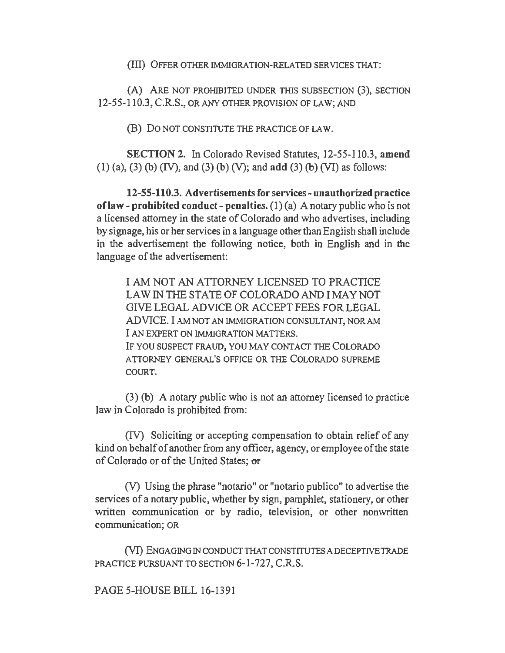(III) OFFER OTHER IMMIGRATION-RELATED SERVICES THAT:

(A) ARE NOT PROHIBITED UNDER THIS SUBSECTION (3), SECTION 12-55-110.3, C.R.S., OR ANY OTHER PROVISION OF LAW; AND

(B) Do NOT CONSTITUTE THE PRACTICE OF LAW.

SECTION 2. In Colorado Revised Statutes, 12-55-110.3, amend (1) (a), (3) (b) (IV), and (3) (b) (V); and add (3) (b) (VI) as follows:

12-55-110.3. Advertisements for services- unauthorized practice of law - prohibited conduct - penalties.  $(1)$  (a) A notary public who is not a licensed attorney in the state of Colorado and who advertises, including by signage, his or her services in a language other than English shall include in the advertisement the following notice, both in English and in the language of the advertisement:

I AM NOT AN ATTORNEY LICENSED TO PRACTICE LAW IN THE STATE OF COLORADO AND I MAY NOT GIVE LEGAL ADVICE OR ACCEPT FEES FOR LEGAL ADVICE. I AM NOT AN IMMIGRATION CONSULTANT, NOR AM I AN EXPERT ON IMMIGRATION MATTERS. IF YOU SUSPECT FRAUD, YOU MAY CONTACT THE COLORADO A TIORNEY GENERAL'S OFFICE OR THE COLORADO SUPREME COURT.

(3) (b) A notary public who is not an attorney licensed to practice law in Colorado is prohibited from:

(IV) Soliciting or accepting compensation to obtain relief of any kind on behalf of another from any officer, agency, or employee of the state of Colorado or of the United States; or

(V) Using the phrase "notario" or "notario publico" to advertise the services of a notary public, whether by sign, pamphlet, stationery, or other written communication or by radio, television, or other nonwritten communication; OR

(VI) ENGAGING IN CONDUCTTHA TCONSTITUTES A DECEPTIVE TRADE PRACTICE PURSUANT TO SECTION 6-1-727, C.R.S.

PAGE S-HOUSE BILL 16-1391